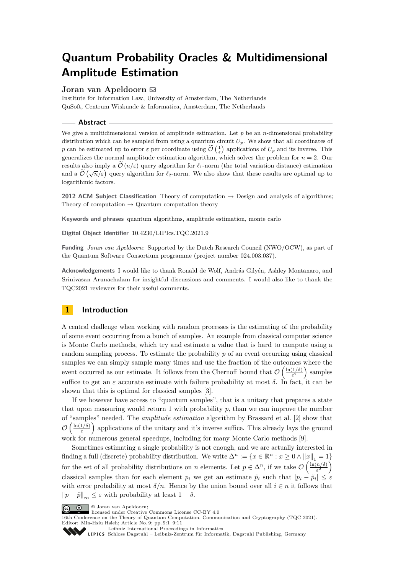# **Quantum Probability Oracles & Multidimensional Amplitude Estimation**

# **Joran van Apeldoorn**

Institute for Information Law, University of Amsterdam, The Netherlands QuSoft, Centrum Wiskunde & Informatica, Amsterdam, The Netherlands

## **Abstract**

We give a multidimensional version of amplitude estimation. Let  $p$  be an  $n$ -dimensional probability distribution which can be sampled from using a quantum circuit  $U_p$ . We show that all coordinates of *p* can be estimated up to error  $\varepsilon$  per coordinate using  $\mathcal{O}\left(\frac{1}{\varepsilon}\right)$  applications of  $U_p$  and its inverse. This generalizes the normal amplitude estimation algorithm, which solves the problem for  $n = 2$ . Our results also imply a  $\mathcal{O}(n/\varepsilon)$  query algorithm for  $\ell_1$ -norm (the total variation distance) estimation and a  $\tilde{O}(\sqrt{n}/\varepsilon)$  query algorithm for  $\ell_2$ -norm. We also show that these results are optimal up to logarithmic factors.

**2012 ACM Subject Classification** Theory of computation  $\rightarrow$  Design and analysis of algorithms; Theory of computation  $\rightarrow$  Quantum computation theory

**Keywords and phrases** quantum algorithms, amplitude estimation, monte carlo

**Digital Object Identifier** [10.4230/LIPIcs.TQC.2021.9](https://doi.org/10.4230/LIPIcs.TQC.2021.9)

**Funding** *Joran van Apeldoorn*: Supported by the Dutch Research Council (NWO/OCW), as part of the Quantum Software Consortium programme (project number 024.003.037).

**Acknowledgements** I would like to thank Ronald de Wolf, András Gilyén, Ashley Montanaro, and Srinivasan Arunachalam for insightful discussions and comments. I would also like to thank the TQC2021 reviewers for their useful comments.

# **1 Introduction**

A central challenge when working with random processes is the estimating of the probability of some event occurring from a bunch of samples. An example from classical computer science is Monte Carlo methods, which try and estimate a value that is hard to compute using a random sampling process. To estimate the probability *p* of an event occurring using classical samples we can simply sample many times and use the fraction of the outcomes where the event occurred as our estimate. It follows from the Chernoff bound that  $\mathcal{O}\left(\frac{\ln(1/\delta)}{\epsilon^2}\right)$  $\left(\frac{1/\delta}{\varepsilon^2}\right)$  samples suffice to get an  $\varepsilon$  accurate estimate with failure probability at most  $\delta$ . In fact, it can be shown that this is optimal for classical samples [\[3\]](#page-9-0).

If we however have access to "quantum samples", that is a unitary that prepares a state that upon measuring would return 1 with probability  $p$ , than we can improve the number of "samples" needed. The *amplitude estimation* algorithm by Brassard et al. [\[2\]](#page-9-1) show that  $\mathcal{O}\left(\frac{\ln(1/\delta)}{\varepsilon}\right)$  $\frac{1/\delta)}{\varepsilon}$  applications of the unitary and it's inverse suffice. This already lays the ground work for numerous general speedups, including for many Monte Carlo methods [\[9\]](#page-10-0).

Sometimes estimating a single probability is not enough, and we are actually interested in finding a full (discrete) probability distribution. We write  $\Delta^n := \{x \in \mathbb{R}^n : x \ge 0 \land ||x||_1 = 1\}$ for the set of all probability distributions on *n* elements. Let  $p \in \Delta^n$ , if we take  $\mathcal{O}\left(\frac{\ln(n/\delta)}{\epsilon^2}\right)$  $\left(\frac{n/\delta}{\varepsilon^2}\right)$ classical samples than for each element  $p_i$  we get an estimate  $\tilde{p}_i$  such that  $|p_i - \tilde{p}_i| \leq \varepsilon$ with error probability at most  $\delta/n$ . Hence by the union bound over all  $i \in n$  it follows that  $||p - \tilde{p}||_{\infty} \leq \varepsilon$  with probability at least  $1 - \delta$ .

Leibniz international Floretungs in missimosische Publishing, Germany<br>LIPICS [Schloss Dagstuhl – Leibniz-Zentrum für Informatik, Dagstuhl Publishing, Germany](https://www.dagstuhl.de)

<sup>©</sup> Joran van Apeldoorn; licensed under Creative Commons License CC-BY 4.0

<sup>16</sup>th Conference on the Theory of Quantum Computation, Communication and Cryptography (TQC 2021). Editor: Min-Hsiu Hsieh; Article No. 9; pp. 9:1–9:11

[Leibniz International Proceedings in Informatics](https://www.dagstuhl.de/lipics/)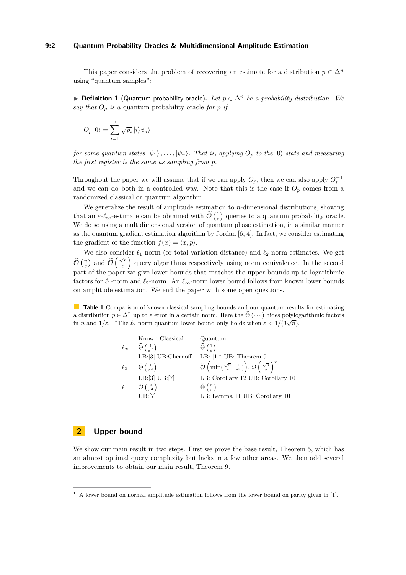# **9:2 Quantum Probability Oracles & Multidimensional Amplitude Estimation**

This paper considers the problem of recovering an estimate for a distribution  $p \in \Delta^n$ using "quantum samples":

▶ **Definition 1** (Quantum probability oracle). Let  $p \in \Delta^n$  be a probability distribution. We *say that*  $O_p$  *is a* quantum probability oracle *for p if* 

$$
O_p |0\rangle = \sum_{i=1}^n \sqrt{p_i} |i\rangle |\psi_i\rangle
$$

*for some quantum states*  $|\psi_1\rangle, \ldots, |\psi_n\rangle$ *. That is, applying*  $O_p$  *to the*  $|0\rangle$  *state and measuring the first register is the same as sampling from p.*

Throughout the paper we will assume that if we can apply  $O_p$ , then we can also apply  $O_p^{-1}$ , and we can do both in a controlled way. Note that this is the case if  $O_p$  comes from a randomized classical or quantum algorithm.

We generalize the result of amplitude estimation to *n*-dimensional distributions, showing that an  $\varepsilon \text{-} \ell_{\infty}$ -estimate can be obtained with  $\widetilde{\mathcal{O}}\left(\frac{1}{\varepsilon}\right)$  queries to a quantum probability oracle. We do so using a multidimensional version of quantum phase estimation, in a similar manner as the quantum gradient estimation algorithm by Jordan [\[6,](#page-9-2) [4\]](#page-9-3). In fact, we consider estimating the gradient of the function  $f(x) = \langle x, p \rangle$ .

We also consider  $\ell_1$ -norm (or total variation distance) and  $\ell_2$ -norm estimates. We get  $\widetilde{\mathcal{O}}\left(\frac{n}{\varepsilon}\right)$  and  $\widetilde{\mathcal{O}}\left(\frac{\sqrt{n}}{\varepsilon}\right)$  $\left(\frac{\sqrt{n}}{\varepsilon}\right)$  query algorithms respectively using norm equivalence. In the second part of the paper we give lower bounds that matches the upper bounds up to logarithmic factors for *ℓ*1-norm and *ℓ*2-norm. An *ℓ*∞-norm lower bound follows from known lower bounds on amplitude estimation. We end the paper with some open questions.

**Table 1** Comparison of known classical sampling bounds and our quantum results for estimating a distribution  $p \in \Delta^n$  up to  $\varepsilon$  error in a certain norm. Here the  $\Theta(\cdots)$  hides polylogarithmic factors in *n* and  $1/\varepsilon$ . <sup>\*</sup>The  $\ell_2$ -norm quantum lower bound only holds when  $\varepsilon < 1/(3\sqrt{n})$ .

|                 | Known Classical                                        | Quantum                                                                                                                                                       |
|-----------------|--------------------------------------------------------|---------------------------------------------------------------------------------------------------------------------------------------------------------------|
| $\ell_{\infty}$ | $\Theta\left(\frac{1}{\varepsilon^2}\right)$           | $\Theta\left(\frac{1}{2}\right)$                                                                                                                              |
|                 | $LB:[3]$ UB:Chernoff                                   | LB: $[1]$ <sup>1</sup> UB: Theorem 9                                                                                                                          |
|                 | $\ell_2$ $\phi$ $\left(\frac{1}{\varepsilon^2}\right)$ | $\widetilde{\mathcal{O}}\left(\min\left(\frac{\sqrt{n}}{\varepsilon},\frac{1}{\varepsilon^2}\right)\right),\,\Omega\left(\frac{\sqrt{n}}{\varepsilon}\right)$ |
|                 | LB:[3]UB:[7]                                           | LB: Corollary 12 UB: Corollary 10                                                                                                                             |
| $\ell_1$        | $\left(\frac{n}{\varepsilon^2}\right)$                 | $\Theta\left(\frac{n}{2}\right)$                                                                                                                              |
|                 | UB:[7]                                                 | LB: Lemma 11 UB: Corollary 10                                                                                                                                 |

# **2 Upper bound**

We show our main result in two steps. First we prove the base result, [Theorem 5,](#page-3-0) which has an almost optimal query complexity but lacks in a few other areas. We then add several improvements to obtain our main result, [Theorem 9.](#page-6-0)

<span id="page-1-0"></span> $1$  A lower bound on normal amplitude estimation follows from the lower bound on parity given in [\[1\]](#page-9-4).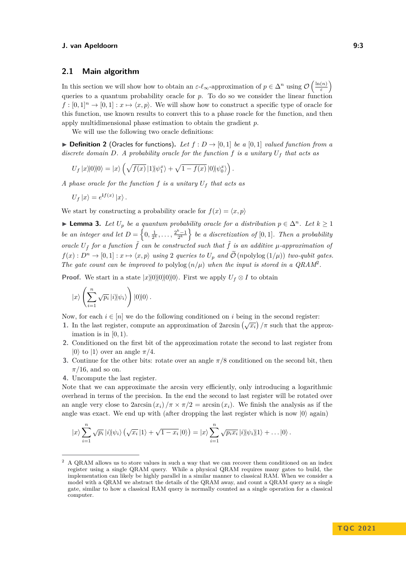# **2.1 Main algorithm**

In this section we will show how to obtain an  $\varepsilon$ - $\ell_{\infty}$ -approximation of  $p \in \Delta^n$  using  $\mathcal{O}\left(\frac{\ln(n)}{\varepsilon}\right)$ *ε* queries to a quantum probability oracle for *p*. To do so we consider the linear function  $f : [0,1]^n \to [0,1] : x \mapsto \langle x,p \rangle$ . We will show how to construct a specific type of oracle for this function, use known results to convert this to a phase roacle for the function, and then apply multidimensional phase estimation to obtain the gradient *p*.

We will use the following two oracle definitions:

▶ **Definition 2** (Oracles for functions). Let  $f: D → [0, 1]$  be a [0,1] *valued function from a discrete domain D. A probability oracle for the function f is a unitary U<sup>f</sup> that acts as*

$$
U_f |x\rangle|0\rangle|0\rangle = |x\rangle \left(\sqrt{f(x)} |1\rangle|\psi_1^x\rangle + \sqrt{1 - f(x)} |0\rangle|\psi_0^x\rangle\right).
$$

*A phase oracle for the function f is a unitary U<sup>f</sup> that acts as*

$$
U_f |x\rangle = e^{\mathbf{i}f(x)} |x\rangle.
$$

We start by constructing a probability oracle for  $f(x) = \langle x, p \rangle$ 

<span id="page-2-1"></span>▶ **Lemma 3.** Let  $U_p$  be a quantum probability oracle for a distribution  $p \in \Delta^n$ . Let  $k \geq 1$ *be an integer and let*  $D = \left\{0, \frac{1}{2^k}, \ldots, \frac{2^k-1}{2^k}\right\}$  *be a discretization of* [0,1]. Then a probability *oracle*  $U_{\tilde{f}}$  *for a function*  $\tilde{f}$  *can be constructed such that*  $\tilde{f}$  *is an additive*  $\mu$ -approximation of  $f(x): D^n \to [0,1]: x \mapsto \langle x, p \rangle$  *using* 2 *queries to*  $U_p$  *and*  $\widetilde{O}(n \text{polylog}(1/\mu))$  *two-qubit gates.* The gate count can be improved to polylog  $(n/\mu)$  when the input is stored in a QRAM<sup>[2](#page-2-0)</sup>.

**Proof.** We start in a state  $|x|0|0|0|0\rangle$ . First we apply  $U_f \otimes I$  to obtain

$$
|x\rangle\left(\sum_{i=1}^n\sqrt{p_i}\,|i\rangle|\psi_i\rangle\right)|0\rangle|0\rangle.
$$

Now, for each  $i \in [n]$  we do the following conditioned on  $i$  being in the second register:

- **1.** In the last register, compute an approximation of  $2 \arcsin \left( \sqrt{x_i} \right) / \pi$  such that the approximation is in [0*,* 1).
- **2.** Conditioned on the first bit of the approximation rotate the second to last register from  $|0\rangle$  to  $|1\rangle$  over an angle  $\pi/4$ .
- **3.** Continue for the other bits: rotate over an angle *π/*8 conditioned on the second bit, then *π/*16, and so on.
- **4.** Uncompute the last register.

Note that we can approximate the arcsin very efficiently, only introducing a logarithmic overhead in terms of the precision. In the end the second to last register will be rotated over an angle very close to  $2 \arcsin (x_i) / \pi \times \pi/2 = \arcsin (x_i)$ . We finish the analysis as if the angle was exact. We end up with (after dropping the last register which is now  $|0\rangle$  again)

$$
|x\rangle \sum_{i=1}^n \sqrt{p_i} |i\rangle \langle \psi_i \rangle \left( \sqrt{x_i} |1\rangle + \sqrt{1-x_i} |0\rangle \right) = |x\rangle \sum_{i=1}^n \sqrt{p_i x_i} |i\rangle \langle \psi_i |1\rangle + \ldots |0\rangle.
$$

<span id="page-2-0"></span><sup>2</sup> A QRAM allows us to store values in such a way that we can recover them conditioned on an index register using a single QRAM query. While a physical QRAM requires many gates to build, the implementation can likely be highly parallel in a similar manner to classical RAM. When we consider a model with a QRAM we abstract the details of the QRAM away, and count a QRAM query as a single gate, similar to how a classical RAM query is normally counted as a single operation for a classical computer.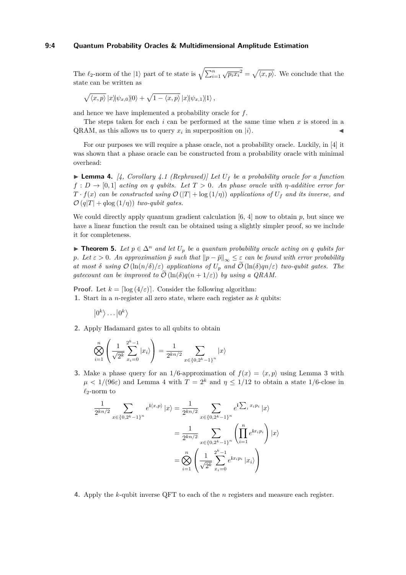#### **9:4 Quantum Probability Oracles & Multidimensional Amplitude Estimation**

The  $\ell_2$ -norm of the  $|1\rangle$  part of te state is  $\sqrt{\sum_{i=1}^n \sqrt{p_i x_i^2}} = \sqrt{\langle x, p \rangle}$ . We conclude that the state can be written as

$$
\sqrt{\langle x,p\rangle} \, |x\rangle |\psi_{x,0}\rangle |0\rangle + \sqrt{1-\langle x,p\rangle} \, |x\rangle |\psi_{x,1}\rangle |1\rangle \,,
$$

and hence we have implemented a probability oracle for *f*.

The steps taken for each *i* can be performed at the same time when *x* is stored in a QRAM, as this allows us to query  $x_i$  in superposition on  $|i\rangle$ .

For our purposes we will require a phase oracle, not a probability oracle. Luckily, in [\[4\]](#page-9-3) it was shown that a phase oracle can be constructed from a probability oracle with minimal overhead:

<span id="page-3-1"></span> $\blacktriangleright$  **Lemma 4.** [\[4,](#page-9-3) Corollary 4.1 (Rephrased)] Let  $U_f$  be a probability oracle for a function  $f: D \to [0,1]$  *acting on q qubits. Let*  $T > 0$ *. An phase oracle with*  $\eta$ *-additive error for T* ·  $f(x)$  *can be constructed using*  $\mathcal{O}(|T| + \log(1/\eta))$  *applications of*  $U_f$  *and its inverse, and*  $\mathcal{O}(q|T| + q\log(1/\eta))$  *two-qubit gates.* 

We could directly apply quantum gradient calculation  $[6, 4]$  $[6, 4]$  $[6, 4]$  now to obtain  $p$ , but since we have a linear function the result can be obtained using a slightly simpler proof, so we include it for completeness.

<span id="page-3-0"></span>▶ **Theorem 5.** Let  $p \in \Delta^n$  and let  $U_p$  be a quantum probability oracle acting on q qubits for *p.* Let  $\varepsilon > 0$ *. An approximation*  $\tilde{p}$  *such that*  $||p - \tilde{p}||_{\infty} \leq \varepsilon$  *can be found with error probability at most*  $\delta$  *using*  $\mathcal{O}(\ln(n/\delta)/\epsilon)$  *applications of*  $U_p$  *and*  $\mathcal{O}(\ln(\delta)qn/\epsilon)$  *two-qubit gates. The gatecount can be improved to*  $\mathcal{O}(\ln(\delta)q(n+1/\varepsilon))$  *by using a QRAM.* 

**Proof.** Let  $k = \lfloor \log(4/\varepsilon) \rfloor$ . Consider the following algorithm: **1.** Start in a *n*-register all zero state, where each register as *k* qubits:

 $\ket{0^k} \dots \ket{0^k}$ 

**2.** Apply Hadamard gates to all qubits to obtain

$$
\bigotimes_{i=1}^{n} \left( \frac{1}{\sqrt{2^k}} \sum_{x_i=0}^{2^k - 1} |x_i\rangle \right) = \frac{1}{2^{kn/2}} \sum_{x \in \{0, 2^k - 1\}^n} |x\rangle
$$

**3.** Make a phase query for an 1/6-approximation of  $f(x) = \langle x, p \rangle$  using [Lemma 3](#page-2-1) with  $\mu$  < 1/(96*ε*) and [Lemma 4](#page-3-1) with  $T = 2^k$  and  $\eta \leq 1/12$  to obtain a state 1/6-close in *ℓ*2-norm to

$$
\frac{1}{2^{kn/2}} \sum_{x \in \{0, 2^k - 1\}^n} e^{i\langle x, p \rangle} |x\rangle = \frac{1}{2^{kn/2}} \sum_{x \in \{0, 2^k - 1\}^n} e^{i \sum_i x_i p_i} |x\rangle
$$

$$
= \frac{1}{2^{kn/2}} \sum_{x \in \{0, 2^k - 1\}^n} \left( \prod_{i=1}^n e^{i x_i p_i} \right) |x\rangle
$$

$$
= \bigotimes_{i=1}^n \left( \frac{1}{\sqrt{2^k}} \sum_{x_i=0}^{2^k - 1} e^{i x_i p_i} |x_i\rangle \right)
$$

**4.** Apply the *k*-qubit inverse QFT to each of the *n* registers and measure each register.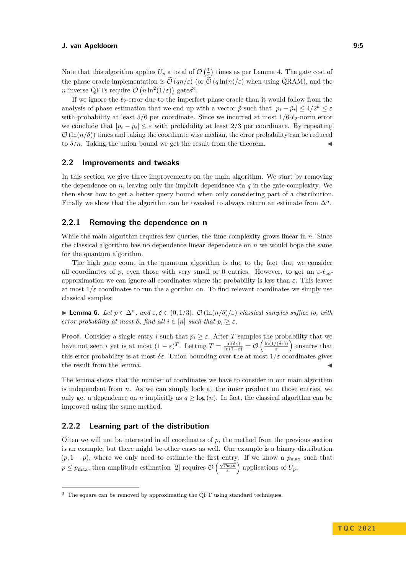Note that this algorithm applies  $U_p$  a total of  $\mathcal{O}\left(\frac{1}{\epsilon}\right)$  times as per [Lemma 4.](#page-3-1) The gate cost of the phase oracle implementation is  $\tilde{\mathcal{O}}(qn/\varepsilon)$  (or  $\tilde{\mathcal{O}}(q\ln(n)/\varepsilon)$ ) when using QRAM), and the *n* inverse QFTs require  $\mathcal{O}(n \ln^2(1/\varepsilon))$  gates<sup>[3](#page-4-0)</sup>.

If we ignore the *ℓ*2-error due to the imperfect phase oracle than it would follow from the analysis of phase estimation that we end up with a vector  $\tilde{p}$  such that  $|p_i - \tilde{p}_i| \leq 4/2^k \leq \varepsilon$ with probability at least 5*/*6 per coordinate. Since we incurred at most 1*/*6-*ℓ*2-norm error we conclude that  $|p_i - \tilde{p}_i| \leq \varepsilon$  with probability at least 2/3 per coordinate. By repeating  $\mathcal{O}(\ln(n/\delta))$  times and taking the coordinate wise median, the error probability can be reduced to  $\delta/n$ . Taking the union bound we get the result from the theorem.

# **2.2 Improvements and tweaks**

In this section we give three improvements on the main algorithm. We start by removing the dependence on  $n$ , leaving only the implicit dependence via  $q$  in the gate-complexity. We then show how to get a better query bound when only considering part of a distribution. Finally we show that the algorithm can be tweaked to always return an estimate from  $\Delta^n$ .

# **2.2.1 Removing the dependence on n**

While the main algorithm requires few queries, the time complexity grows linear in *n*. Since the classical algorithm has no dependence linear dependence on *n* we would hope the same for the quantum algorithm.

The high gate count in the quantum algorithm is due to the fact that we consider all coordinates of *p*, even those with very small or 0 entries. However, to get an *ε*-*ℓ*∞ approximation we can ignore all coordinates where the probability is less than *ε*. This leaves at most  $1/\varepsilon$  coordinates to run the algorithm on. To find relevant coordinates we simply use classical samples:

**► Lemma 6.** *Let*  $p \in \Delta^n$ *, and*  $\varepsilon, \delta \in (0, 1/3)$ *.*  $\mathcal{O}(\ln(n/\delta)/\varepsilon)$  *classical samples suffice to, with error probability at most*  $\delta$ *, find all*  $i \in [n]$  *such that*  $p_i \geq \varepsilon$ *.* 

**Proof.** Consider a single entry *i* such that  $p_i \geq \varepsilon$ . After *T* samples the probability that we have not seen *i* yet is at most  $(1 - \varepsilon)^T$ . Letting  $T = \frac{\ln(\delta \varepsilon)}{\ln(1 - \varepsilon)} = \mathcal{O}\left(\frac{\ln(1/(\delta \varepsilon))}{\varepsilon}\right)$  $\left(\frac{(\delta \varepsilon)}{\varepsilon}\right)$  ensures that this error probability is at most  $\delta \varepsilon$ . Union bounding over the at most  $1/\varepsilon$  coordinates gives the result from the lemma.

The lemma shows that the number of coordinates we have to consider in our main algorithm is independent from *n*. As we can simply look at the inner product on those entries, we only get a dependence on *n* implicitly as  $q \ge \log(n)$ . In fact, the classical algorithm can be improved using the same method.

# **2.2.2 Learning part of the distribution**

Often we will not be interested in all coordinates of  $p$ , the method from the previous section is an example, but there might be other cases as well. One example is a binary distribution  $(p, 1-p)$ , where we only need to estimate the first entry. If we know a  $p_{\text{max}}$  such that  $p \leq p_{\text{max}}$ , then amplitude estimation [\[2\]](#page-9-1) requires  $\mathcal{O}\left(\frac{\sqrt{p_{\text{max}}}}{\varepsilon}\right)$  applications of  $U_p$ .

<span id="page-4-0"></span><sup>&</sup>lt;sup>3</sup> The square can be removed by approximating the QFT using standard techniques.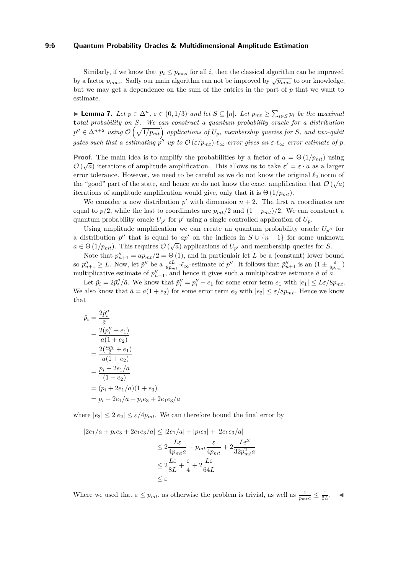#### **9:6 Quantum Probability Oracles & Multidimensional Amplitude Estimation**

Similarly, if we know that  $p_i \leq p_{\text{max}}$  for all *i*, then the classical algorithm can be improved by a factor  $p_{max}$ . Sadly our main algorithm can not be improved by  $\sqrt{p_{max}}$  to our knowledge, but we may get a dependence on the sum of the entries in the part of *p* that we want to estimate.

► Lemma 7. Let  $p \in \Delta^n$ ,  $\varepsilon \in (0,1/3)$  and let  $S \subseteq [n]$ . Let  $p_{mt} \geq \sum_{i \in S} p_i$  be the maximal **t***otal probability on S. We can construct a quantum probability oracle for a distribution*  $p'' \in \Delta^{n+2}$  using  $\mathcal{O}\left(\sqrt{1/p_{mt}}\right)$  applications of  $U_p$ , membership queries for *S*, and two-qubit *gates such that a estimating*  $p''$  *up to*  $\mathcal{O}(\varepsilon/p_{mt})$ *-l*<sub>∞</sub>*-error gives an*  $\varepsilon$ *-l*<sub>∞</sub> *error estimate of p*.

**Proof.** The main idea is to amplify the probabilities by a factor of  $a = \Theta(1/p_{mt})$  using  $\mathcal{O}(\sqrt{a})$  iterations of amplitude amplification. This allows us to take  $\varepsilon' = \varepsilon \cdot a$  as a larger error tolerance. However, we need to be careful as we do not know the original  $\ell_2$  norm of the "good" part of the state, and hence we do not know the exact amplification that  $\mathcal{O}(\sqrt{a})$ iterations of amplitude amplification would give, only that it is  $\Theta(1/p_{mt})$ .

We consider a new distribution  $p'$  with dimension  $n+2$ . The first *n* coordinates are equal to  $p/2$ , while the last to coordinates are  $p_{mt}/2$  and  $(1 - p_{mt})/2$ . We can construct a quantum probability oracle  $U_{p'}$  for  $p'$  using a single controlled application of  $U_p$ .

Using amplitude amplification we can create an quantum probability oracle  $U_{p^{\prime\prime}}$  for a distribution  $p''$  that is equal to  $ap'$  on the indices in  $S \cup \{n+1\}$  for some unknown  $a \in \Theta(1/p_{mt})$ . This requires  $\mathcal{O}(\sqrt{a})$  applications of  $U_{p'}$  and membership queries for *S*.

Note that  $p''_{n+1} = ap_{mt}/2 = \Theta(1)$ , and in particulair let *L* be a (constant) lower bound so  $p''_{n+1} \geq L$ . Now, let  $\tilde{p}''$  be a  $\frac{\varepsilon L}{8p_{mt}}$ - $\ell_{\infty}$ -estimate of  $p''$ . It follows that  $\tilde{p}''_{n+1}$  is an  $(1 \pm \frac{\varepsilon}{8p_{mt}})$ multiplicative estimate of  $p''_{n+1}$ , and hence it gives such a multiplicative estimate  $\tilde{a}$  of  $\tilde{a}$ .

Let  $\tilde{p}_i = 2\tilde{p}_i''/\tilde{a}$ . We know that  $\tilde{p}_i'' = p_i'' + e_1$  for some error term  $e_1$  with  $|e_1| \leq L\varepsilon/8p_{mt}$ . We also know that  $\tilde{a} = a(1 + e_2)$  for some error term  $e_2$  with  $|e_2| \leq \varepsilon/8p_{mt}$ . Hence we know that

$$
\tilde{p}_i = \frac{2\tilde{p}_i''}{\tilde{a}} \n= \frac{2(p_i'' + e_1)}{a(1 + e_2)} \n= \frac{2(\frac{ap_i}{2} + e_1)}{a(1 + e_2)} \n= \frac{p_i + 2e_1/a}{(1 + e_2)} \n= (p_i + 2e_1/a)(1 + e_3) \n= p_i + 2e_1/a + p_i e_3 + 2e_1 e_3/a
$$

where  $|e_3| \leq 2|e_2| \leq \varepsilon/4p_{mt}$ . We can therefore bound the final error by

$$
|2e_1/a + p_i e_3 + 2e_1 e_3/a| \le |2e_1/a| + |p_i e_3| + |2e_1 e_3/a|
$$
  

$$
\le 2 \frac{L\varepsilon}{4p_{mt}a} + p_{mt} \frac{\varepsilon}{4p_{mt}} + 2 \frac{L\varepsilon^2}{32p_{mt}^2a}
$$
  

$$
\le 2 \frac{L\varepsilon}{8L} + \frac{\varepsilon}{4} + 2 \frac{L\varepsilon}{64L}
$$
  

$$
\le \varepsilon
$$

Where we used that  $\varepsilon \leq p_{mt}$ , as otherwise the problem is trivial, as well as  $\frac{1}{p_{mt}a} \leq \frac{1}{2L}$ .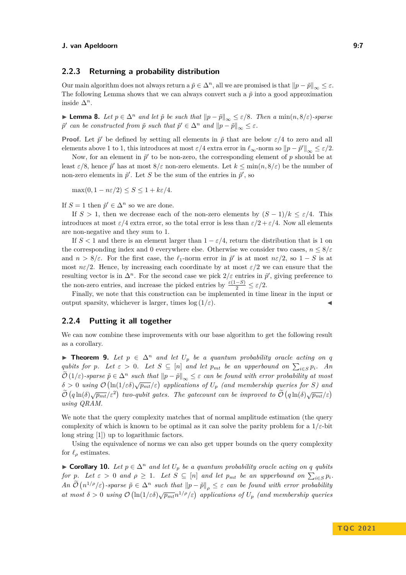#### **2.2.3 Returning a probability distribution**

Our main algorithm does not always return a  $\tilde{p} \in \Delta^n$ , all we are promised is that  $||p - \tilde{p}||_{\infty} \leq \varepsilon$ . The following Lemma shows that we can always convert such a  $\tilde{p}$  into a good approximation inside ∆*n*.

▶ **Lemma 8.** *Let*  $p \in \Delta^n$  *and let*  $\tilde{p}$  *be such that*  $||p - \tilde{p}||_{\infty} \leq \varepsilon/8$ *. Then a* min $(n, 8/\varepsilon)$ *-sparse*  $\tilde{p}'$  *can be constructed from*  $\tilde{p}$  *such that*  $\tilde{p}' \in \Delta^n$  *and*  $||p - \tilde{p}||_{\infty} \leq \varepsilon$ *.* 

**Proof.** Let  $\tilde{p}'$  be defined by setting all elements in  $\tilde{p}$  that are below  $\varepsilon/4$  to zero and all elements above 1 to 1, this introduces at most  $\varepsilon/4$  extra error in  $\ell_{\infty}$ -norm so  $||p - \tilde{p}'||_{\infty} \leq \varepsilon/2$ .

Now, for an element in  $\tilde{p}'$  to be non-zero, the corresponding element of  $p$  should be at least  $\varepsilon/8$ , hence  $\tilde{p}'$  has at most  $8/\varepsilon$  non-zero elements. Let  $k \le \min(n, 8/\varepsilon)$  be the number of non-zero elements in  $\tilde{p}'$ . Let *S* be the sum of the entries in  $\tilde{p}'$ , so

 $\max(0, 1 - n\varepsilon/2) \leq S \leq 1 + k\varepsilon/4.$ 

If  $S = 1$  then  $\tilde{p}' \in \Delta^n$  so we are done.

If  $S > 1$ , then we decrease each of the non-zero elements by  $(S - 1)/k < \varepsilon/4$ . This introduces at most  $\varepsilon/4$  extra error, so the total error is less than  $\varepsilon/2 + \varepsilon/4$ . Now all elements are non-negative and they sum to 1.

If  $S < 1$  and there is an element larger than  $1 - \varepsilon/4$ , return the distribution that is 1 on the corresponding index and 0 everywhere else. Otherwise we consider two cases,  $n \leq 8/\varepsilon$ and  $n > 8/\varepsilon$ . For the first case, the  $\ell_1$ -norm error in  $\tilde{p}'$  is at most  $n\varepsilon/2$ , so  $1-S$  is at most  $n\varepsilon/2$ . Hence, by increasing each coordinate by at most  $\varepsilon/2$  we can ensure that the resulting vector is in  $\Delta^n$ . For the second case we pick  $2/\varepsilon$  entries in  $\tilde{p}'$ , giving preference to the non-zero entries, and increase the picked entries by  $\frac{\varepsilon(1-S)}{2} \leq \varepsilon/2$ .

Finally, we note that this construction can be implemented in time linear in the input or output sparsity, whichever is larger, times  $\log(1/\varepsilon)$ .

## **2.2.4 Putting it all together**

We can now combine these improvements with our base algorithm to get the following result as a corollary.

<span id="page-6-0"></span>▶ **Theorem 9.** Let  $p \in \Delta^n$  and let  $U_p$  be a quantum probability oracle acting on q *qubits for p.* Let  $\varepsilon > 0$ *. Let*  $S \subseteq [n]$  *and let*  $p_{mt}$  *be an upperbound on*  $\sum_{i \in S} p_i$ *. An*  $\widetilde{O}(1/\varepsilon)$ -sparse  $\widetilde{p} \in \Delta^n$  such that  $||p - \widetilde{p}||_{\infty} \leq \varepsilon$  can be found with error probability at most  $\delta > 0$  *using*  $\mathcal{O}(\ln(1/\varepsilon\delta)\sqrt{p_{mt}}/\varepsilon)$  applications of  $U_p$  (and membership queries for *S*) and  $\widetilde{\mathcal{O}}\left(q\ln(\delta)\sqrt{p_{mt}}/\varepsilon^2\right)$  two-qubit gates. The gatecount can be improved to  $\widetilde{\mathcal{O}}\left(q\ln(\delta)\sqrt{p_{mt}}/\varepsilon\right)$ *using QRAM.*

We note that the query complexity matches that of normal amplitude estimation (the query complexity of which is known to be optimal as it can solve the parity problem for a  $1/\varepsilon$ -bit long string [\[1\]](#page-9-4)) up to logarithmic factors.

Using the equivalence of norms we can also get upper bounds on the query complexity for  $\ell_{\rho}$  estimates.

<span id="page-6-1"></span>▶ **Corollary 10.** *Let*  $p \in \Delta^n$  *and let*  $U_p$  *be a quantum probability oracle acting on q qubits for p.* Let  $\varepsilon > 0$  and  $\rho \geq 1$ *. Let*  $S \subseteq [n]$  and let  $p_{mt}$  be an upperbound on  $\sum_{i \in S} p_i$ *.*  $An \mathcal{O}(n^{1/\rho}/\varepsilon)$ -sparse  $\tilde{p} \in \Delta^n$  such that  $||p - \tilde{p}||_{\rho} \leq \varepsilon$  can be found with error probability *at most*  $\delta > 0$  *using*  $\mathcal{O}(\ln(1/\epsilon \delta)\sqrt{p_{mt}}n^{1/\rho}/\epsilon)$  *applications of*  $U_p$  *(and membership queries*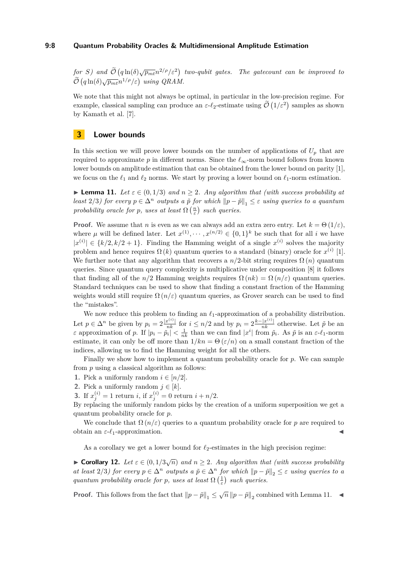#### **9:8 Quantum Probability Oracles & Multidimensional Amplitude Estimation**

 $f$ *or S*) and  $\widetilde{\mathcal{O}}\left(q\ln(\delta)\sqrt{p_{m}t}n^{2/\rho}/\varepsilon^2\right)$  two-qubit gates. The gatecount can be improved to  $\widetilde{\mathcal{O}}\left(q\ln(\delta)\sqrt{p_{mt}}n^{1/\rho}/\varepsilon\right)$  using QRAM.

We note that this might not always be optimal, in particular in the low-precision regime. For example, classical sampling can produce an  $\varepsilon$ - $\ell_2$ -estimate using  $\tilde{\mathcal{O}}(1/\varepsilon^2)$  samples as shown by Kamath et al. [\[7\]](#page-10-1).

## **3 Lower bounds**

In this section we will prove lower bounds on the number of applications of  $U_p$  that are required to approximate  $p$  in different norms. Since the  $\ell_{\infty}$ -norm bound follows from known lower bounds on amplitude estimation that can be obtained from the lower bound on parity [\[1\]](#page-9-4), we focus on the  $\ell_1$  and  $\ell_2$  norms. We start by proving a lower bound on  $\ell_1$ -norm estimation.

<span id="page-7-1"></span>▶ **Lemma 11.** Let  $\varepsilon \in (0,1/3)$  and  $n \geq 2$ . Any algorithm that (with success probability at *least* 2/3*)* for every  $p \in \Delta^n$  *outputs a*  $\tilde{p}$  for which  $||p - \tilde{p}||_1 \leq \varepsilon$  *using queries to a quantum probability oracle for p, uses at least*  $\Omega\left(\frac{n}{\varepsilon}\right)$  *such queries.* 

**Proof.** We assume that *n* is even as we can always add an extra zero entry. Let  $k = \Theta(1/\varepsilon)$ , where  $\mu$  will be defined later. Let  $x^{(1)}, \dots, x^{(n/2)} \in \{0,1\}^k$  be such that for all *i* we have  $|x^{(i)}| \in \{k/2, k/2 + 1\}$ . Finding the Hamming weight of a single  $x^{(i)}$  solves the majority problem and hence requires  $\Omega(k)$  quantum queries to a standard (binary) oracle for  $x^{(i)}$  [\[1\]](#page-9-4). We further note that any algorithm that recovers a  $n/2$ -bit string requires  $\Omega(n)$  quantum queries. Since quantum query complexity is multiplicative under composition [\[8\]](#page-10-2) it follows that finding all of the  $n/2$  Hamming weights requires  $\Omega(nk) = \Omega(n/\varepsilon)$  quantum queries. Standard techniques can be used to show that finding a constant fraction of the Hamming weights would still require  $\Omega(n/\varepsilon)$  quantum queries, as Grover search can be used to find the "mistakes".

We now reduce this problem to finding an *ℓ*1-approximation of a probability distribution. Let  $p \in \Delta^n$  be given by  $p_i = 2\frac{|x^{(i)}|}{nk}$  for  $i \leq n/2$  and by  $p_i = 2\frac{k - |x^{(i)}|}{nk}$  otherwise. Let  $\tilde{p}$  be an *ε* approximation of *p*. If  $|p_i - \tilde{p}_i| < \frac{1}{nk}$  than we can find  $|x^i|$  from  $\tilde{p}_i$ . As  $\tilde{p}$  is an  $\varepsilon$ - $\ell_1$ -norm estimate, it can only be off more than  $1/kn = \Theta(\varepsilon/n)$  on a small constant fraction of the indices, allowing us to find the Hamming weight for all the others.

Finally we show how to implement a quantum probability oracle for *p*. We can sample from *p* using a classical algorithm as follows:

- **1.** Pick a uniformly random  $i \in [n/2]$ .
- **2.** Pick a uniformly random  $j \in [k]$ .
- **3.** If  $x_j^{(i)} = 1$  return *i*, if  $x_j^{(i)} = 0$  return  $i + n/2$ .

By replacing the uniformly random picks by the creation of a uniform superposition we get a quantum probability oracle for *p*.

We conclude that  $\Omega(n/\varepsilon)$  queries to a quantum probability oracle for p are required to obtain an  $\varepsilon$ - $\ell_1$ -approximation.

As a corollary we get a lower bound for  $\ell_2$ -estimates in the high precision regime:

<span id="page-7-0"></span>**► Corollary 12.** Let  $\varepsilon \in (0,1/3\sqrt{n})$  and  $n \geq 2$ . Any algorithm that (with success probability *at least*  $2/3$ *) for every*  $p \in \Delta^n$  *outputs a*  $\tilde{p} \in \Delta^n$  *for which*  $||p - \tilde{p}||_2 \leq \varepsilon$  *using queries to a quantum probability oracle for p, uses at least*  $\Omega\left(\frac{1}{\varepsilon}\right)$  *such queries.* 

**Proof.** This follows from the fact that  $||p - \tilde{p}||_1 \leq \sqrt{n} ||p - \tilde{p}||_2$  combined with [Lemma 11.](#page-7-1)  $\blacktriangleleft$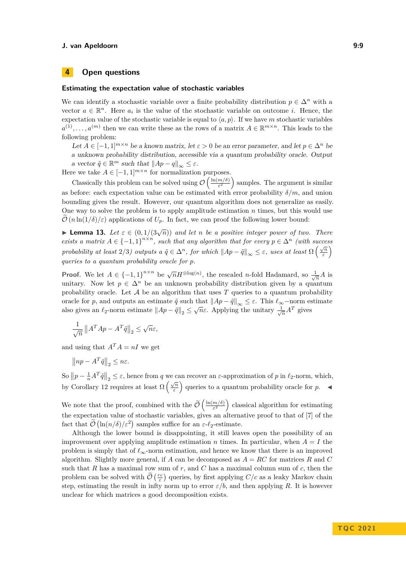# **4 Open questions**

#### **Estimating the expectation value of stochastic variables**

We can identify a stochastic variable over a finite probability distribution  $p \in \Delta^n$  with a vector  $a \in \mathbb{R}^n$ . Here  $a_i$  is the value of the stochastic variable on outcome *i*. Hence, the expectation value of the stochastic variable is equal to  $\langle a, p \rangle$ . If we have *m* stochastic variables  $a^{(1)}, \ldots, a^{(m)}$  then we can write these as the rows of a matrix  $A \in \mathbb{R}^{m \times n}$ . This leads to the following problem:

Let  $A \in [-1,1]^{m \times n}$  be a known matrix, let  $\varepsilon > 0$  be an error parameter, and let  $p \in \Delta^n$  be a unknown probability distribution, accessible via a quantum probability oracle. Output a vector  $\tilde{q} \in \mathbb{R}^m$  such that  $||Ap - q||_{\infty} \leq \varepsilon$ .

Here we take  $A \in [-1,1]^{m \times n}$  for normalization purposes.

Classically this problem can be solved using  $\mathcal{O}\left(\frac{\ln(m/\delta)}{\epsilon^2}\right)$  $\frac{m/\delta}{\epsilon^2}$ ) samples. The argument is similar as before: each expectation value can be estimated with error probability  $\delta/m$ , and union bounding gives the result. However, our quantum algorithm does not generalize as easily. One way to solve the problem is to apply amplitude estimation *n* times, but this would use  $\mathcal{O}(n \ln(1/\delta)/\epsilon)$  applications of  $U_p$ . In fact, we can proof the following lower bound:

**Lemma 13.** Let  $\varepsilon \in (0, 1/(3\sqrt{n}))$  and let *n* be a positive integer power of two. There *exists a matrix*  $A \in \{-1,1\}^{n \times n}$ , such that any algorithm that for every  $p \in \Delta^n$  (with success *probability at least*  $2/3$ *) outputs a*  $\tilde{q} \in \Delta^n$ *, for which*  $||Ap - \tilde{q}||_{\infty} \leq \varepsilon$ *, uses at least*  $\Omega\left(\frac{\sqrt{n}}{\varepsilon}\right)$ *ε queries to a quantum probability oracle for p.*

**Proof.** We let  $A \in \{-1,1\}^{n \times n}$  be  $\sqrt{n}H^{\otimes \log(n)}$ , the rescaled *n*-fold Hadamard, so  $\frac{1}{\sqrt{n}}A$  is unitary. Now let  $p \in \Delta^n$  be an unknown probability distribution given by a quantum probability oracle. Let  $A$  be an algorithm that uses  $T$  queries to a quantum probability oracle for *p*, and outputs an estimate  $\tilde{q}$  such that  $||Ap - \tilde{q}||_{\infty} \leq \varepsilon$ . This  $\ell_{\infty}$ -norm estimate also gives an  $\ell_2$ -norm estimate  $||Ap - \tilde{q}||_2 \leq \sqrt{n}\varepsilon$ . Applying the unitary  $\frac{1}{\sqrt{n}}A^T$  gives

$$
\frac{1}{\sqrt{n}} \left\| A^T A p - A^T \tilde{q} \right\|_2 \le \sqrt{n} \varepsilon,
$$

and using that  $A^T A = nI$  we get

$$
\left\| np - A^T \tilde{q} \right\|_2 \leq n\varepsilon.
$$

So  $||p - \frac{1}{n}A^T\tilde{q}||_2 \leq \varepsilon$ , hence from *q* we can recover an  $\varepsilon$ -approximation of *p* in  $\ell_2$ -norm, which, by [Corollary 12](#page-7-0) requires at least  $\Omega\left(\frac{\sqrt{n}}{\epsilon}\right)$  $\left(\frac{\sqrt{n}}{\varepsilon}\right)$  queries to a quantum probability oracle for *p*.

We note that the proof, combined with the  $\tilde{\mathcal{O}}\left(\frac{\ln(m/\delta)}{\varepsilon^2}\right)$  $\left(\frac{m}{\varepsilon^2}\right)$  classical algorithm for estimating the expectation value of stochastic variables, gives an alternative proof to that of [\[7\]](#page-10-1) of the fact that  $\mathcal{O}(\ln(n/\delta)/\varepsilon^2)$  samples suffice for an  $\varepsilon$ - $\ell_2$ -estimate.

Although the lower bound is disappointing, it still leaves open the possibility of an improvement over applying amplitude estimation *n* times. In particular, when  $A = I$  the problem is simply that of *ℓ*∞-norm estimation, and hence we know that there is an improved algorithm. Slightly more general, if *A* can be decomposed as *A* = *RC* for matrices *R* and *C* such that *R* has a maximal row sum of *r*, and *C* has a maximal column sum of *c*, then the problem can be solved with  $\widetilde{\mathcal{O}}\left(\frac{rc}{\varepsilon}\right)$  queries, by first applying  $C/c$  as a leaky Markov chain step, estimating the result in infty norm up to error  $\varepsilon/b$ , and then applying R. It is however unclear for which matrices a good decomposition exists.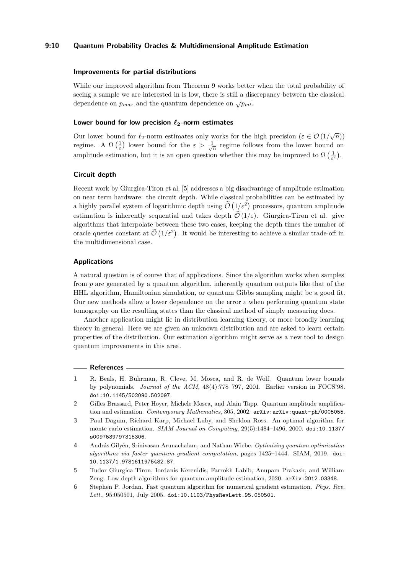## **9:10 Quantum Probability Oracles & Multidimensional Amplitude Estimation**

#### **Improvements for partial distributions**

While our improved algorithm from [Theorem 9](#page-6-0) works better when the total probability of seeing a sample we are interested in is low, there is still a discrepancy between the classical dependence on  $p_{max}$  and the quantum dependence on  $\sqrt{p_{m}}$ .

# **Lower bound for low precision** *ℓ***2-norm estimates**

Our lower bound for  $\ell_2$ -norm estimates only works for the high precision ( $\varepsilon \in \mathcal{O}(1/\sqrt{n})$ ) regime. A  $\Omega\left(\frac{1}{\varepsilon}\right)$  lower bound for the  $\varepsilon > \frac{1}{\sqrt{n}}$  regime follows from the lower bound on amplitude estimation, but it is an open question whether this may be improved to  $\Omega\left(\frac{1}{\varepsilon^2}\right)$ .

## **Circuit depth**

Recent work by Giurgica-Tiron et al. [\[5\]](#page-9-5) addresses a big disadvantage of amplitude estimation on near term hardware: the circuit depth. While classical probabilities can be estimated by a highly parallel system of logarithmic depth using  $\tilde{\mathcal{O}}\left(1/\varepsilon^2\right)$  processors, quantum amplitude estimation is inherently sequential and takes depth  $\tilde{\mathcal{O}}(1/\varepsilon)$ . Giurgica-Tiron et al. give algorithms that interpolate between these two cases, keeping the depth times the number of oracle queries constant at  $\tilde{\mathcal{O}}(1/\varepsilon^2)$ . It would be interesting to achieve a similar trade-off in the multidimensional case.

#### **Applications**

A natural question is of course that of applications. Since the algorithm works when samples from *p* are generated by a quantum algorithm, inherently quantum outputs like that of the HHL algorithm, Hamiltonian simulation, or quantum Gibbs sampling might be a good fit. Our new methods allow a lower dependence on the error  $\varepsilon$  when performing quantum state tomography on the resulting states than the classical method of simply measuring does.

Another application might lie in distribution learning theory, or more broadly learning theory in general. Here we are given an unknown distribution and are asked to learn certain properties of the distribution. Our estimation algorithm might serve as a new tool to design quantum improvements in this area.

#### **References**

- <span id="page-9-4"></span>**1** R. Beals, H. Buhrman, R. Cleve, M. Mosca, and R. de Wolf. Quantum lower bounds by polynomials. *Journal of the ACM*, 48(4):778–797, 2001. Earlier version in FOCS'98. [doi:10.1145/502090.502097](https://doi.org/10.1145/502090.502097).
- <span id="page-9-1"></span>**2** Gilles Brassard, Peter Hoyer, Michele Mosca, and Alain Tapp. Quantum amplitude amplification and estimation. *Contemporary Mathematics*, 305, 2002. [arXiv:arXiv:quant-ph/0005055](http://arxiv.org/abs/arXiv:quant-ph/0005055).
- <span id="page-9-0"></span>**3** Paul Dagum, Richard Karp, Michael Luby, and Sheldon Ross. An optimal algorithm for monte carlo estimation. *SIAM Journal on Computing*, 29(5):1484–1496, 2000. [doi:10.1137/](https://doi.org/10.1137/s0097539797315306) [s0097539797315306](https://doi.org/10.1137/s0097539797315306).
- <span id="page-9-3"></span>**4** András Gilyén, Srinivasan Arunachalam, and Nathan Wiebe. *Optimizing quantum optimization algorithms via faster quantum gradient computation*, pages 1425–1444. SIAM, 2019. [doi:](https://doi.org/10.1137/1.9781611975482.87) [10.1137/1.9781611975482.87](https://doi.org/10.1137/1.9781611975482.87).
- <span id="page-9-5"></span>**5** Tudor Giurgica-Tiron, Iordanis Kerenidis, Farrokh Labib, Anupam Prakash, and William Zeng. Low depth algorithms for quantum amplitude estimation, 2020. [arXiv:2012.03348](http://arxiv.org/abs/2012.03348).
- <span id="page-9-2"></span>**6** Stephen P. Jordan. Fast quantum algorithm for numerical gradient estimation. *Phys. Rev. Lett.*, 95:050501, July 2005. [doi:10.1103/PhysRevLett.95.050501](https://doi.org/10.1103/PhysRevLett.95.050501).